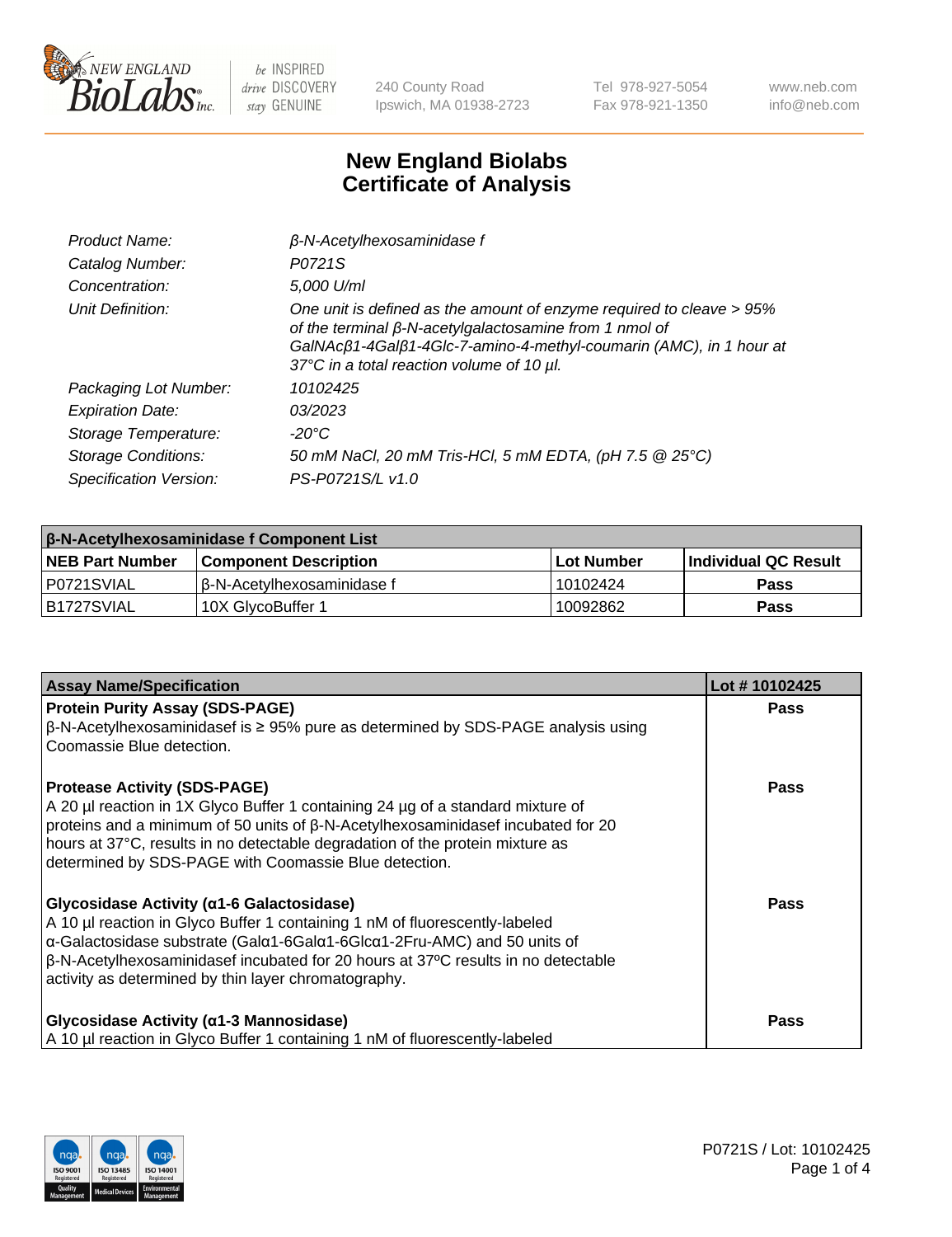

240 County Road Ipswich, MA 01938-2723 Tel 978-927-5054 Fax 978-921-1350 www.neb.com info@neb.com

## **New England Biolabs Certificate of Analysis**

| Product Name:              | $\beta$ -N-Acetylhexosaminidase f                                                                                                                                                                                                                        |  |
|----------------------------|----------------------------------------------------------------------------------------------------------------------------------------------------------------------------------------------------------------------------------------------------------|--|
| Catalog Number:            | P0721S                                                                                                                                                                                                                                                   |  |
| Concentration:             | 5,000 U/ml                                                                                                                                                                                                                                               |  |
| Unit Definition:           | One unit is defined as the amount of enzyme required to cleave > 95%<br>of the terminal $\beta$ -N-acetylgalactosamine from 1 nmol of<br>GalNAcß1-4Galß1-4Glc-7-amino-4-methyl-coumarin (AMC), in 1 hour at<br>37°C in a total reaction volume of 10 µl. |  |
| Packaging Lot Number:      | 10102425                                                                                                                                                                                                                                                 |  |
| <b>Expiration Date:</b>    | 03/2023                                                                                                                                                                                                                                                  |  |
| Storage Temperature:       | -20°C                                                                                                                                                                                                                                                    |  |
| <b>Storage Conditions:</b> | 50 mM NaCl, 20 mM Tris-HCl, 5 mM EDTA, (pH 7.5 @ 25°C)                                                                                                                                                                                                   |  |
| Specification Version:     | PS-P0721S/L v1.0                                                                                                                                                                                                                                         |  |

| <b>β-N-Acetylhexosaminidase f Component List</b> |                              |             |                             |  |  |
|--------------------------------------------------|------------------------------|-------------|-----------------------------|--|--|
| <b>NEB Part Number</b>                           | <b>Component Description</b> | ⊺Lot Number | <b>Individual QC Result</b> |  |  |
| IP0721SVIAL                                      | l β-N-Acetvlhexosaminidase f | 10102424    | <b>Pass</b>                 |  |  |
| IB1727SVIAL                                      | 10X GlvcoBuffer 1            | 10092862    | <b>Pass</b>                 |  |  |

| <b>Assay Name/Specification</b>                                                                                                                                                                         | Lot #10102425 |
|---------------------------------------------------------------------------------------------------------------------------------------------------------------------------------------------------------|---------------|
| <b>Protein Purity Assay (SDS-PAGE)</b>                                                                                                                                                                  | <b>Pass</b>   |
| $\beta$ -N-Acetylhexosaminidasef is $\geq 95\%$ pure as determined by SDS-PAGE analysis using<br>Coomassie Blue detection.                                                                              |               |
| <b>Protease Activity (SDS-PAGE)</b>                                                                                                                                                                     | Pass          |
| A 20 µl reaction in 1X Glyco Buffer 1 containing 24 µg of a standard mixture of                                                                                                                         |               |
| proteins and a minimum of 50 units of $\beta$ -N-Acetylhexosaminidasef incubated for 20<br>hours at 37°C, results in no detectable degradation of the protein mixture as                                |               |
| determined by SDS-PAGE with Coomassie Blue detection.                                                                                                                                                   |               |
| <b>Glycosidase Activity (α1-6 Galactosidase)</b>                                                                                                                                                        | <b>Pass</b>   |
| A 10 µl reaction in Glyco Buffer 1 containing 1 nM of fluorescently-labeled                                                                                                                             |               |
| $\alpha$ -Galactosidase substrate (Gal $\alpha$ 1-6Gal $\alpha$ 1-6Glc $\alpha$ 1-2Fru-AMC) and 50 units of<br>$\beta$ -N-Acetylhexosaminidasef incubated for 20 hours at 37°C results in no detectable |               |
| activity as determined by thin layer chromatography.                                                                                                                                                    |               |
|                                                                                                                                                                                                         |               |
| <b>Glycosidase Activity (α1-3 Mannosidase)</b>                                                                                                                                                          | <b>Pass</b>   |
| A 10 µl reaction in Glyco Buffer 1 containing 1 nM of fluorescently-labeled                                                                                                                             |               |

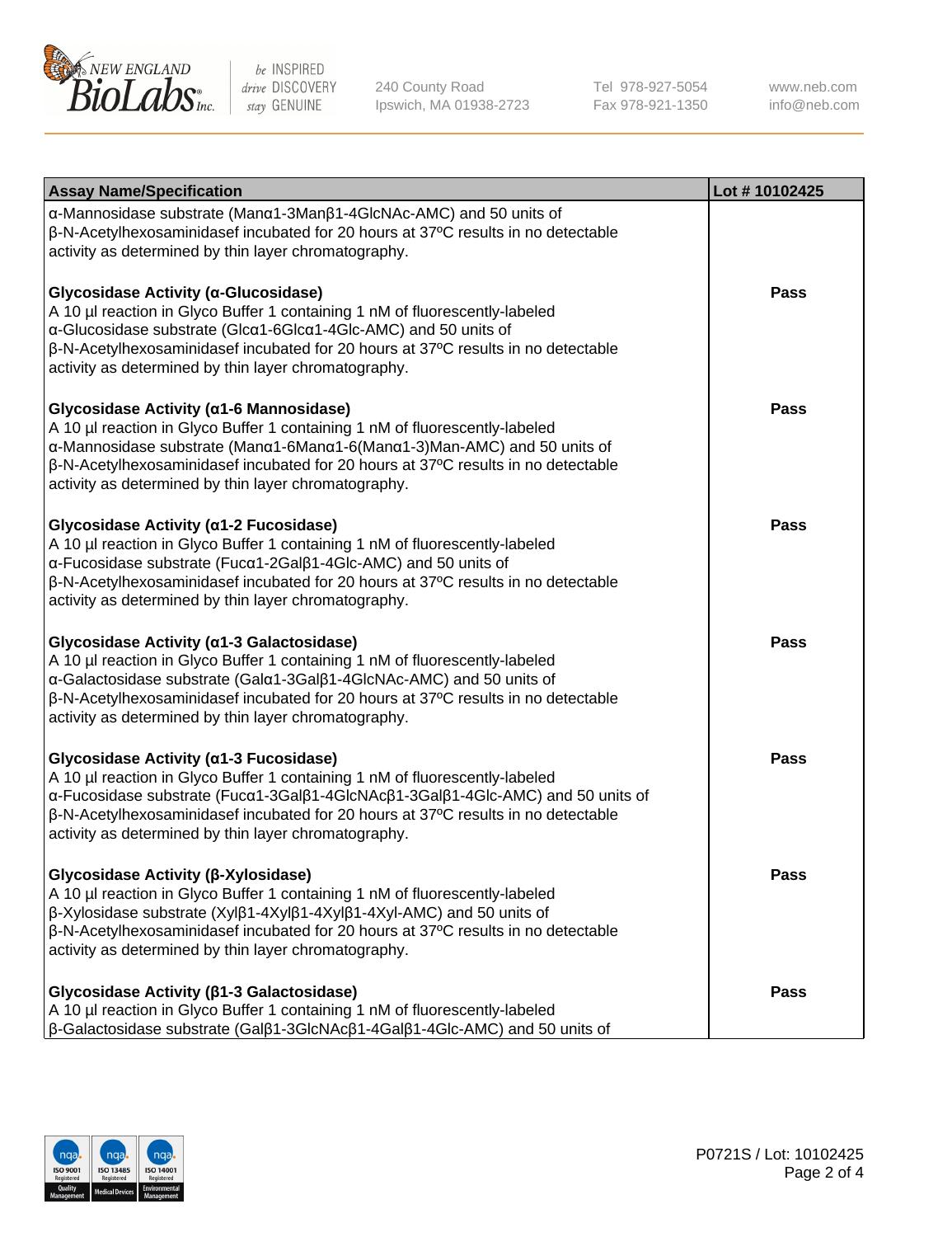

240 County Road Ipswich, MA 01938-2723 Tel 978-927-5054 Fax 978-921-1350 www.neb.com info@neb.com

| <b>Assay Name/Specification</b>                                                                                                                                                                                                                                                                                                                                  | Lot #10102425 |
|------------------------------------------------------------------------------------------------------------------------------------------------------------------------------------------------------------------------------------------------------------------------------------------------------------------------------------------------------------------|---------------|
| α-Mannosidase substrate (Manα1-3Manβ1-4GlcNAc-AMC) and 50 units of<br>β-N-Acetylhexosaminidasef incubated for 20 hours at 37°C results in no detectable<br>activity as determined by thin layer chromatography.                                                                                                                                                  |               |
| Glycosidase Activity (α-Glucosidase)<br>A 10 µl reaction in Glyco Buffer 1 containing 1 nM of fluorescently-labeled<br>α-Glucosidase substrate (Glcα1-6Glcα1-4Glc-AMC) and 50 units of<br>$\beta$ -N-Acetylhexosaminidasef incubated for 20 hours at 37 $\degree$ C results in no detectable<br>activity as determined by thin layer chromatography.             | Pass          |
| Glycosidase Activity (α1-6 Mannosidase)<br>A 10 µl reaction in Glyco Buffer 1 containing 1 nM of fluorescently-labeled<br>α-Mannosidase substrate (Manα1-6Manα1-6(Manα1-3)Man-AMC) and 50 units of<br>$\beta$ -N-Acetylhexosaminidasef incubated for 20 hours at 37 $\degree$ C results in no detectable<br>activity as determined by thin layer chromatography. | Pass          |
| Glycosidase Activity (α1-2 Fucosidase)<br>A 10 µl reaction in Glyco Buffer 1 containing 1 nM of fluorescently-labeled<br>α-Fucosidase substrate (Fucα1-2Galβ1-4Glc-AMC) and 50 units of<br>$\beta$ -N-Acetylhexosaminidasef incubated for 20 hours at 37 $\degree$ C results in no detectable<br>activity as determined by thin layer chromatography.            | Pass          |
| Glycosidase Activity (α1-3 Galactosidase)<br>A 10 µl reaction in Glyco Buffer 1 containing 1 nM of fluorescently-labeled<br>α-Galactosidase substrate (Galα1-3Galβ1-4GlcNAc-AMC) and 50 units of<br>β-N-Acetylhexosaminidasef incubated for 20 hours at 37°C results in no detectable<br>activity as determined by thin layer chromatography.                    | <b>Pass</b>   |
| Glycosidase Activity (α1-3 Fucosidase)<br>A 10 µl reaction in Glyco Buffer 1 containing 1 nM of fluorescently-labeled<br>α-Fucosidase substrate (Fucα1-3Galβ1-4GlcNAcβ1-3Galβ1-4Glc-AMC) and 50 units of<br>β-N-Acetylhexosaminidasef incubated for 20 hours at 37°C results in no detectable<br>activity as determined by thin layer chromatography.            | <b>Pass</b>   |
| Glycosidase Activity (β-Xylosidase)<br>A 10 µl reaction in Glyco Buffer 1 containing 1 nM of fluorescently-labeled<br>β-Xylosidase substrate (Xylβ1-4Xylβ1-4Xylβ1-4Xyl-AMC) and 50 units of<br>$\beta$ -N-Acetylhexosaminidasef incubated for 20 hours at 37 $\degree$ C results in no detectable<br>activity as determined by thin layer chromatography.        | <b>Pass</b>   |
| Glycosidase Activity (β1-3 Galactosidase)<br>A 10 µl reaction in Glyco Buffer 1 containing 1 nM of fluorescently-labeled<br>$\beta$ -Galactosidase substrate (Gal $\beta$ 1-3GlcNAc $\beta$ 1-4Gal $\beta$ 1-4Glc-AMC) and 50 units of                                                                                                                           | Pass          |

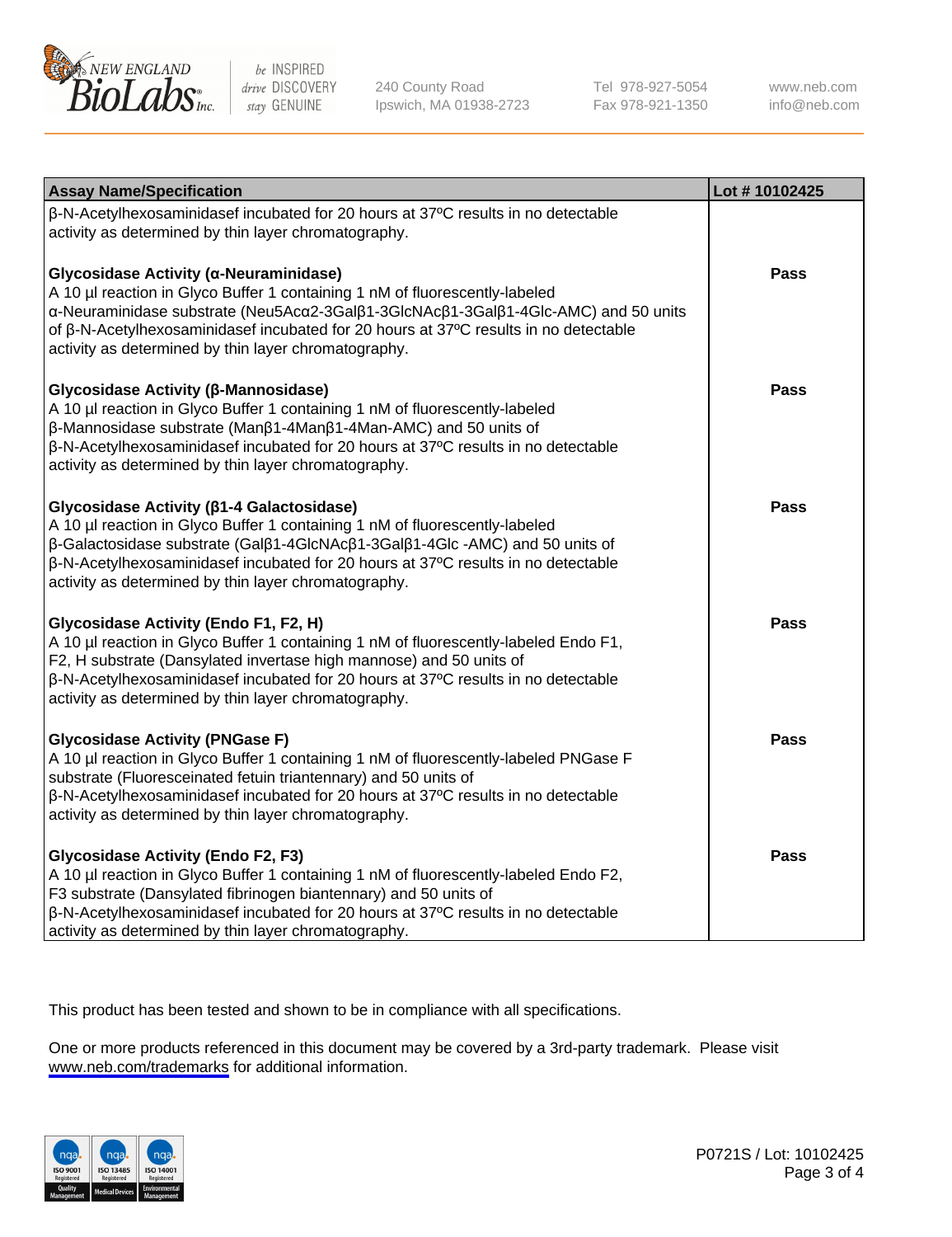

240 County Road Ipswich, MA 01938-2723 Tel 978-927-5054 Fax 978-921-1350

www.neb.com info@neb.com

| <b>Assay Name/Specification</b>                                                                                                                                                                                                                                                                                                                                 | Lot #10102425 |
|-----------------------------------------------------------------------------------------------------------------------------------------------------------------------------------------------------------------------------------------------------------------------------------------------------------------------------------------------------------------|---------------|
| β-N-Acetylhexosaminidasef incubated for 20 hours at 37°C results in no detectable<br>activity as determined by thin layer chromatography.                                                                                                                                                                                                                       |               |
| Glycosidase Activity (α-Neuraminidase)<br>A 10 µl reaction in Glyco Buffer 1 containing 1 nM of fluorescently-labeled<br>α-Neuraminidase substrate (Neu5Acα2-3Galβ1-3GlcNAcβ1-3Galβ1-4Glc-AMC) and 50 units<br>of β-N-Acetylhexosaminidasef incubated for 20 hours at 37°C results in no detectable<br>activity as determined by thin layer chromatography.     | <b>Pass</b>   |
| Glycosidase Activity (β-Mannosidase)<br>A 10 µl reaction in Glyco Buffer 1 containing 1 nM of fluorescently-labeled<br>β-Mannosidase substrate (Manβ1-4Manβ1-4Man-AMC) and 50 units of<br>β-N-Acetylhexosaminidasef incubated for 20 hours at 37°C results in no detectable<br>activity as determined by thin layer chromatography.                             | <b>Pass</b>   |
| Glycosidase Activity (β1-4 Galactosidase)<br>A 10 µl reaction in Glyco Buffer 1 containing 1 nM of fluorescently-labeled<br>β-Galactosidase substrate (Galβ1-4GlcNAcβ1-3Galβ1-4Glc-AMC) and 50 units of<br>β-N-Acetylhexosaminidasef incubated for 20 hours at 37°C results in no detectable<br>activity as determined by thin layer chromatography.            | <b>Pass</b>   |
| Glycosidase Activity (Endo F1, F2, H)<br>A 10 µl reaction in Glyco Buffer 1 containing 1 nM of fluorescently-labeled Endo F1,<br>F2, H substrate (Dansylated invertase high mannose) and 50 units of<br>β-N-Acetylhexosaminidasef incubated for 20 hours at 37°C results in no detectable<br>activity as determined by thin layer chromatography.               | <b>Pass</b>   |
| <b>Glycosidase Activity (PNGase F)</b><br>A 10 µl reaction in Glyco Buffer 1 containing 1 nM of fluorescently-labeled PNGase F<br>substrate (Fluoresceinated fetuin triantennary) and 50 units of<br>$\beta$ -N-Acetylhexosaminidasef incubated for 20 hours at 37 $\degree$ C results in no detectable<br>activity as determined by thin layer chromatography. | Pass          |
| <b>Glycosidase Activity (Endo F2, F3)</b><br>A 10 µl reaction in Glyco Buffer 1 containing 1 nM of fluorescently-labeled Endo F2,<br>F3 substrate (Dansylated fibrinogen biantennary) and 50 units of<br>β-N-Acetylhexosaminidasef incubated for 20 hours at 37°C results in no detectable<br>activity as determined by thin layer chromatography.              | <b>Pass</b>   |

This product has been tested and shown to be in compliance with all specifications.

One or more products referenced in this document may be covered by a 3rd-party trademark. Please visit <www.neb.com/trademarks>for additional information.